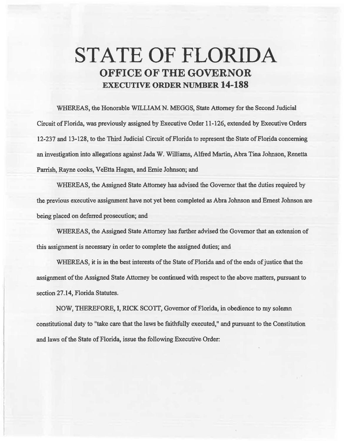## **STATE OF FLORIDA OFFICE OF THE GOVERNOR EXECUTIVE ORDER NUMBER 14-188**

WHEREAS, the Honorable WILLIAM N. MEGGS, State Attorney for the Second Judicial Circuit of Florida, was previously assigned by Executive Order 11-126, extended by Executive Orders 12-237 and 13-128, to the Third Judicial Circuit of Florida to represent the State of Florida concerning an investigation into allegations against Jada W. Williams, Alfred Martin, Abra Tina Johnson, Renetta Parrish, Rayne cooks, VeEtta Hagan, and Ernie Johnson; and

WHEREAS, the Assigned State Attorney has advised the Governor that the duties required by the previous executive assignment have not yet been completed as Abra Johnson and Ernest Johnson are being placed on defened prosecution; and

WHEREAS, the Assigned State Attorney has further advised the Governor that an extension of this assignment is necessary in order to complete the assigned duties; and

WHEREAS, it is in the best interests of the State of Florida and of the ends of justice that the assignment of the Assigned State Attorney be continued with respect to the above matters, pursuant to section 27.14, Florida Statutes.

NOW, THEREFORE, I, RICK SCOTT, Governor of Florida, in obedience to my solemn constitutional daty to "take care that the laws be faithfully executed," and pursuant to the Constitution and laws of the State of Florida, issue the following Executive Order: